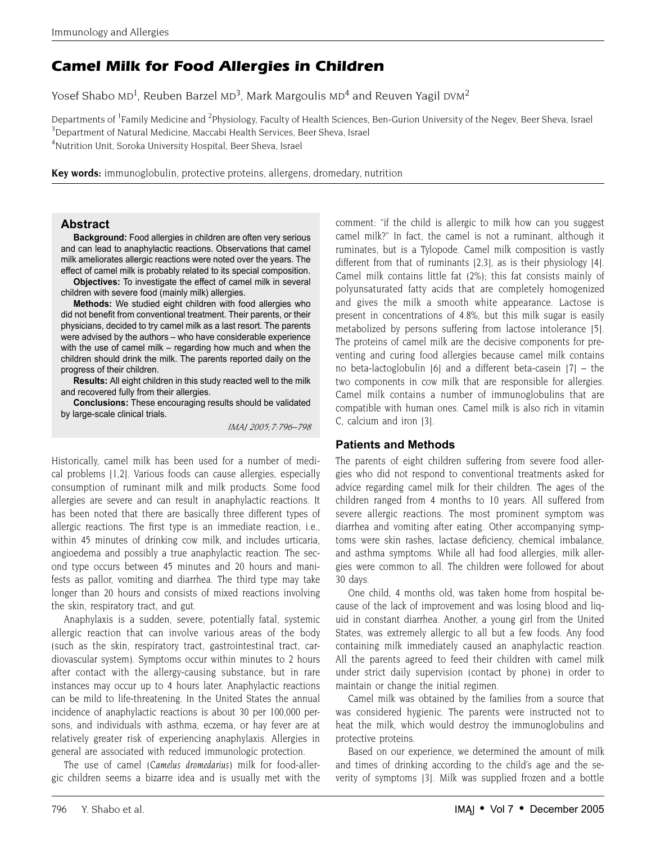# **Camel Milk for Food Allergies in Children**

Yosef Shabo MD<sup>1</sup>, Reuben Barzel MD<sup>3</sup>, Mark Margoulis MD<sup>4</sup> and Reuven Yagil DVM<sup>2</sup>

Departments of <sup>1</sup>Family Medicine and <sup>2</sup>Physiology, Faculty of Health Sciences, Ben-Gurion University of the Negev, Beer Sheva, Israel <sup>3</sup>Department of Natural Medicine, Maccabi Health Services, Beer Sheva, Israel 4 Nutrition Unit, Soroka University Hospital, Beer Sheva, Israel

**Key words:** immunoglobulin, protective proteins, allergens, dromedary, nutrition

### **Abstract**

**Background:** Food allergies in children are often very serious and can lead to anaphylactic reactions. Observations that camel milk ameliorates allergic reactions were noted over the years. The effect of camel milk is probably related to its special composition.

**Objectives:** To investigate the effect of camel milk in several children with severe food (mainly milk) allergies.

**Methods:** We studied eight children with food allergies who did not benefit from conventional treatment. Their parents, or their physicians, decided to try camel milk as a last resort. The parents were advised by the authors – who have considerable experience with the use of camel milk – regarding how much and when the children should drink the milk. The parents reported daily on the progress of their children.

**Results:** All eight children in this study reacted well to the milk and recovered fully from their allergies.

**Conclusions:** These encouraging results should be validated by large-scale clinical trials.

*IMAJ 2005;7:796–798*

Historically, camel milk has been used for a number of medical problems [1,2]. Various foods can cause allergies, especially consumption of ruminant milk and milk products. Some food allergies are severe and can result in anaphylactic reactions. It has been noted that there are basically three different types of allergic reactions. The first type is an immediate reaction, i.e., within 45 minutes of drinking cow milk, and includes urticaria, angioedema and possibly a true anaphylactic reaction. The second type occurs between 45 minutes and 20 hours and manifests as pallor, vomiting and diarrhea. The third type may take longer than 20 hours and consists of mixed reactions involving the skin, respiratory tract, and gut.

Anaphylaxis is a sudden, severe, potentially fatal, systemic allergic reaction that can involve various areas of the body (such as the skin, respiratory tract, gastrointestinal tract, cardiovascular system). Symptoms occur within minutes to 2 hours after contact with the allergy-causing substance, but in rare instances may occur up to 4 hours later. Anaphylactic reactions can be mild to life-threatening. In the United States the annual incidence of anaphylactic reactions is about 30 per 100,000 persons, and individuals with asthma, eczema, or hay fever are at relatively greater risk of experiencing anaphylaxis. Allergies in general are associated with reduced immunologic protection.

The use of camel (*Camelus dromedarius*) milk for food-allergic children seems a bizarre idea and is usually met with the comment: "if the child is allergic to milk how can you suggest camel milk?" In fact, the camel is not a ruminant, although it ruminates, but is a Tylopode. Camel milk composition is vastly different from that of ruminants [2,3], as is their physiology [4]. Camel milk contains little fat (2%); this fat consists mainly of polyunsaturated fatty acids that are completely homogenized and gives the milk a smooth white appearance. Lactose is present in concentrations of 4.8%, but this milk sugar is easily metabolized by persons suffering from lactose intolerance [5]. The proteins of camel milk are the decisive components for preventing and curing food allergies because camel milk contains no beta-lactoglobulin  $[6]$  and a different beta-casein  $[7]$  – the two components in cow milk that are responsible for allergies. Camel milk contains a number of immunoglobulins that are compatible with human ones. Camel milk is also rich in vitamin C, calcium and iron [3].

### **Patients and Methods**

The parents of eight children suffering from severe food allergies who did not respond to conventional treatments asked for advice regarding camel milk for their children. The ages of the children ranged from 4 months to 10 years. All suffered from severe allergic reactions. The most prominent symptom was diarrhea and vomiting after eating. Other accompanying symptoms were skin rashes, lactase deficiency, chemical imbalance, and asthma symptoms. While all had food allergies, milk allergies were common to all. The children were followed for about 30 days.

One child, 4 months old, was taken home from hospital because of the lack of improvement and was losing blood and liquid in constant diarrhea. Another, a young girl from the United States, was extremely allergic to all but a few foods. Any food containing milk immediately caused an anaphylactic reaction. All the parents agreed to feed their children with camel milk under strict daily supervision (contact by phone) in order to maintain or change the initial regimen.

Camel milk was obtained by the families from a source that was considered hygienic. The parents were instructed not to heat the milk, which would destroy the immunoglobulins and protective proteins.

Based on our experience, we determined the amount of milk and times of drinking according to the child's age and the severity of symptoms [3]. Milk was supplied frozen and a bottle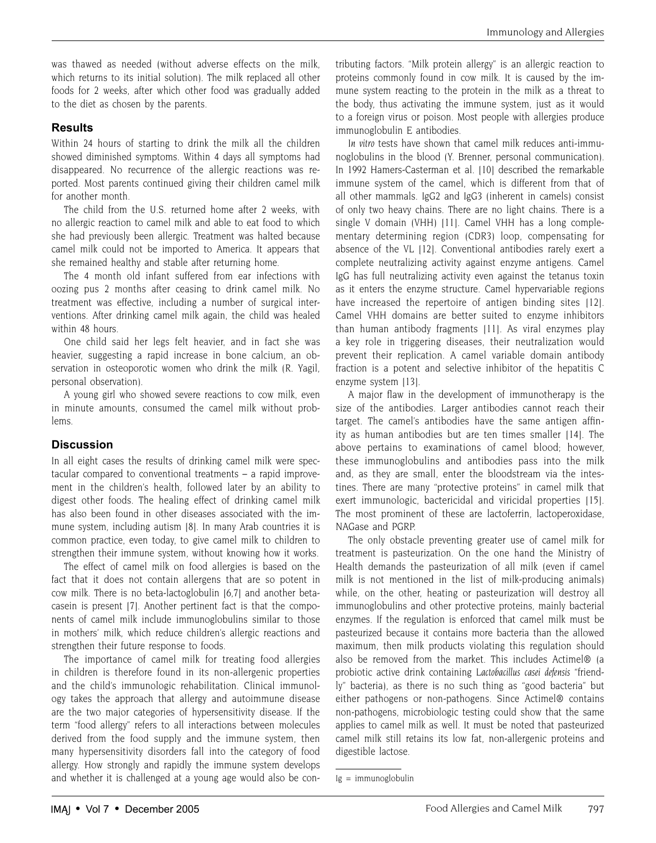was thawed as needed (without adverse effects on the milk, which returns to its initial solution). The milk replaced all other foods for 2 weeks, after which other food was gradually added to the diet as chosen by the parents.

## **Results**

Within 24 hours of starting to drink the milk all the children showed diminished symptoms. Within 4 days all symptoms had disappeared. No recurrence of the allergic reactions was reported. Most parents continued giving their children camel milk for another month.

The child from the U.S. returned home after 2 weeks, with no allergic reaction to camel milk and able to eat food to which she had previously been allergic. Treatment was halted because camel milk could not be imported to America. It appears that she remained healthy and stable after returning home.

The 4 month old infant suffered from ear infections with oozing pus 2 months after ceasing to drink camel milk. No treatment was effective, including a number of surgical interventions. After drinking camel milk again, the child was healed within 48 hours.

One child said her legs felt heavier, and in fact she was heavier, suggesting a rapid increase in bone calcium, an observation in osteoporotic women who drink the milk (R. Yagil, personal observation).

A young girl who showed severe reactions to cow milk, even in minute amounts, consumed the camel milk without problems.

# **Discussion**

In all eight cases the results of drinking camel milk were spectacular compared to conventional treatments – a rapid improvement in the children's health, followed later by an ability to digest other foods. The healing effect of drinking camel milk has also been found in other diseases associated with the immune system, including autism [8]. In many Arab countries it is common practice, even today, to give camel milk to children to strengthen their immune system, without knowing how it works.

The effect of camel milk on food allergies is based on the fact that it does not contain allergens that are so potent in cow milk. There is no beta-lactoglobulin [6,7] and another betacasein is present [7]. Another pertinent fact is that the components of camel milk include immunoglobulins similar to those in mothers' milk, which reduce children's allergic reactions and strengthen their future response to foods.

The importance of camel milk for treating food allergies in children is therefore found in its non-allergenic properties and the child's immunologic rehabilitation. Clinical immunology takes the approach that allergy and autoimmune disease are the two major categories of hypersensitivity disease. If the term "food allergy" refers to all interactions between molecules derived from the food supply and the immune system, then many hypersensitivity disorders fall into the category of food allergy. How strongly and rapidly the immune system develops and whether it is challenged at a young age would also be con-

tributing factors. "Milk protein allergy" is an allergic reaction to proteins commonly found in cow milk. It is caused by the immune system reacting to the protein in the milk as a threat to the body, thus activating the immune system, just as it would to a foreign virus or poison. Most people with allergies produce immunoglobulin E antibodies.

*In vitro* tests have shown that camel milk reduces anti-immunoglobulins in the blood (Y. Brenner, personal communication). In 1992 Hamers-Casterman et al. [10] described the remarkable immune system of the camel, which is different from that of all other mammals. IgG2 and IgG3 (inherent in camels) consist of only two heavy chains. There are no light chains. There is a single V domain (VHH) [11]. Camel VHH has a long complementary determining region (CDR3) loop, compensating for absence of the VL [12]. Conventional antibodies rarely exert a complete neutralizing activity against enzyme antigens. Camel IgG has full neutralizing activity even against the tetanus toxin as it enters the enzyme structure. Camel hypervariable regions have increased the repertoire of antigen binding sites [12]. Camel VHH domains are better suited to enzyme inhibitors than human antibody fragments [11]. As viral enzymes play a key role in triggering diseases, their neutralization would prevent their replication. A camel variable domain antibody fraction is a potent and selective inhibitor of the hepatitis C enzyme system [13].

A major flaw in the development of immunotherapy is the size of the antibodies. Larger antibodies cannot reach their target. The camel's antibodies have the same antigen affinity as human antibodies but are ten times smaller [14]. The above pertains to examinations of camel blood; however, these immunoglobulins and antibodies pass into the milk and, as they are small, enter the bloodstream via the intestines. There are many "protective proteins" in camel milk that exert immunologic, bactericidal and viricidal properties [15]. The most prominent of these are lactoferrin, lactoperoxidase, NAGase and PGRP.

The only obstacle preventing greater use of camel milk for treatment is pasteurization. On the one hand the Ministry of Health demands the pasteurization of all milk (even if camel milk is not mentioned in the list of milk-producing animals) while, on the other, heating or pasteurization will destroy all immunoglobulins and other protective proteins, mainly bacterial enzymes. If the regulation is enforced that camel milk must be pasteurized because it contains more bacteria than the allowed maximum, then milk products violating this regulation should also be removed from the market. This includes Actimel® (a probiotic active drink containing *Lactobacillus casei defensis* "friendly" bacteria), as there is no such thing as "good bacteria" but either pathogens or non-pathogens. Since Actimel® contains non-pathogens, microbiologic testing could show that the same applies to camel milk as well. It must be noted that pasteurized camel milk still retains its low fat, non-allergenic proteins and digestible lactose.

Ig = immunoglobulin